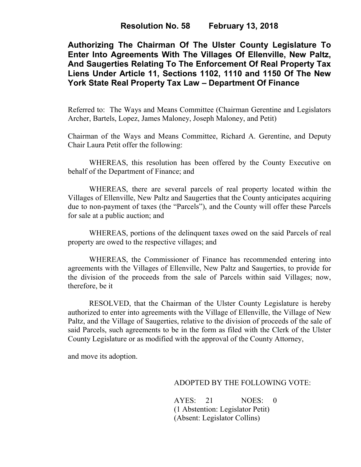## **Resolution No. 58 February 13, 2018**

**Authorizing The Chairman Of The Ulster County Legislature To Enter Into Agreements With The Villages Of Ellenville, New Paltz, And Saugerties Relating To The Enforcement Of Real Property Tax Liens Under Article 11, Sections 1102, 1110 and 1150 Of The New York State Real Property Tax Law – Department Of Finance**

Referred to: The Ways and Means Committee (Chairman Gerentine and Legislators Archer, Bartels, Lopez, James Maloney, Joseph Maloney, and Petit)

Chairman of the Ways and Means Committee, Richard A. Gerentine, and Deputy Chair Laura Petit offer the following:

WHEREAS, this resolution has been offered by the County Executive on behalf of the Department of Finance; and

WHEREAS, there are several parcels of real property located within the Villages of Ellenville, New Paltz and Saugerties that the County anticipates acquiring due to non-payment of taxes (the "Parcels"), and the County will offer these Parcels for sale at a public auction; and

WHEREAS, portions of the delinquent taxes owed on the said Parcels of real property are owed to the respective villages; and

WHEREAS, the Commissioner of Finance has recommended entering into agreements with the Villages of Ellenville, New Paltz and Saugerties, to provide for the division of the proceeds from the sale of Parcels within said Villages; now, therefore, be it

RESOLVED, that the Chairman of the Ulster County Legislature is hereby authorized to enter into agreements with the Village of Ellenville, the Village of New Paltz, and the Village of Saugerties, relative to the division of proceeds of the sale of said Parcels, such agreements to be in the form as filed with the Clerk of the Ulster County Legislature or as modified with the approval of the County Attorney,

and move its adoption.

## ADOPTED BY THE FOLLOWING VOTE:

AYES: 21 NOES: 0 (1 Abstention: Legislator Petit) (Absent: Legislator Collins)